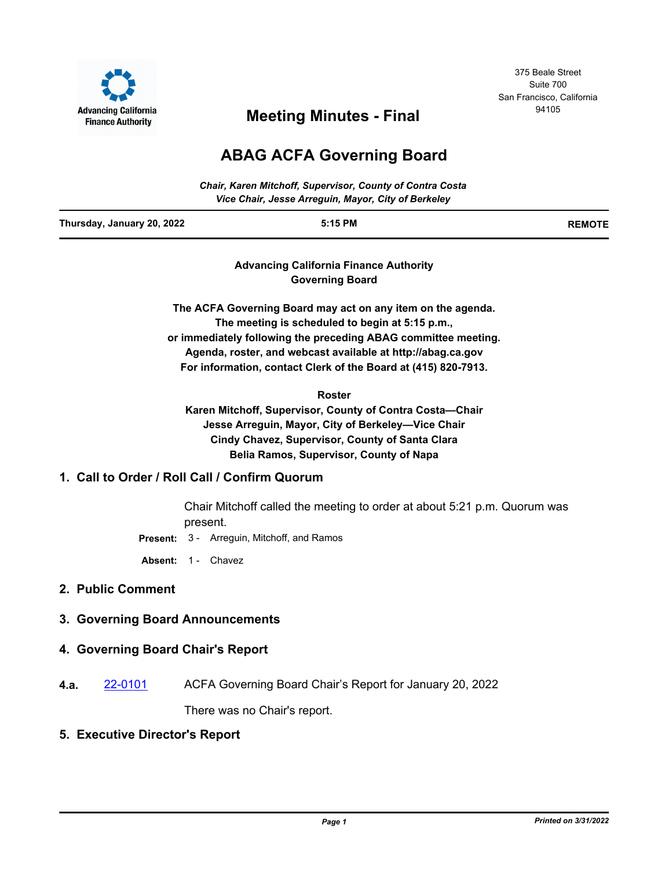

375 Beale Street Suite 700 San Francisco, California

# <sup>94105</sup> **Meeting Minutes - Final**

# **ABAG ACFA Governing Board**

|                            | <b>Chair, Karen Mitchoff, Supervisor, County of Contra Costa</b><br>Vice Chair, Jesse Arreguin, Mayor, City of Berkeley |               |
|----------------------------|-------------------------------------------------------------------------------------------------------------------------|---------------|
| Thursday, January 20, 2022 | $5:15$ PM                                                                                                               | <b>REMOTE</b> |

**Advancing California Finance Authority Governing Board**

**The ACFA Governing Board may act on any item on the agenda. The meeting is scheduled to begin at 5:15 p.m., or immediately following the preceding ABAG committee meeting. Agenda, roster, and webcast available at http://abag.ca.gov For information, contact Clerk of the Board at (415) 820-7913.**

**Roster**

**Karen Mitchoff, Supervisor, County of Contra Costa—Chair Jesse Arreguin, Mayor, City of Berkeley—Vice Chair Cindy Chavez, Supervisor, County of Santa Clara Belia Ramos, Supervisor, County of Napa**

# **1. Call to Order / Roll Call / Confirm Quorum**

Chair Mitchoff called the meeting to order at about 5:21 p.m. Quorum was present.

**Present:** 3 - Arreguin, Mitchoff, and Ramos

**Absent:** 1 - Chavez

# **2. Public Comment**

# **3. Governing Board Announcements**

# **4. Governing Board Chair's Report**

**4.a.** [22-0101](http://mtc.legistar.com/gateway.aspx?m=l&id=/matter.aspx?key=23360) ACFA Governing Board Chair's Report for January 20, 2022

There was no Chair's report.

#### **5. Executive Director's Report**